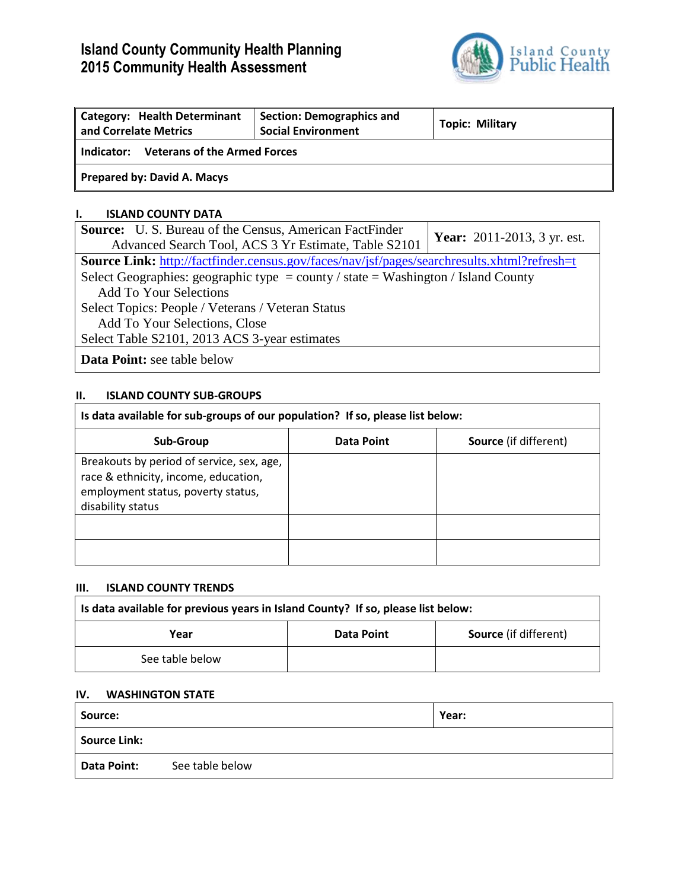# **Island County Community Health Planning 2015 Community Health Assessment**



| <b>Category: Health Determinant</b><br>and Correlate Metrics | <b>Section: Demographics and</b><br><b>Social Environment</b> | <b>Topic: Military</b> |  |
|--------------------------------------------------------------|---------------------------------------------------------------|------------------------|--|
| <b>Veterans of the Armed Forces</b><br>Indicator:            |                                                               |                        |  |
| Prepared by: David A. Macys                                  |                                                               |                        |  |

### **I. ISLAND COUNTY DATA**

| <b>Source:</b> U.S. Bureau of the Census, American FactFinder                                      | <b>Year:</b> 2011-2013, 3 yr. est. |  |  |
|----------------------------------------------------------------------------------------------------|------------------------------------|--|--|
| Advanced Search Tool, ACS 3 Yr Estimate, Table S2101                                               |                                    |  |  |
| <b>Source Link:</b> http://factfinder.census.gov/faces/nav/jsf/pages/searchresults.xhtml?refresh=t |                                    |  |  |
| Select Geographies: geographic type = county / state = Washington / Island County                  |                                    |  |  |
| <b>Add To Your Selections</b>                                                                      |                                    |  |  |
| Select Topics: People / Veterans / Veteran Status                                                  |                                    |  |  |
| Add To Your Selections, Close                                                                      |                                    |  |  |
| Select Table S2101, 2013 ACS 3-year estimates                                                      |                                    |  |  |
| <b>Data Point:</b> see table below                                                                 |                                    |  |  |

## **II. ISLAND COUNTY SUB-GROUPS**

| Is data available for sub-groups of our population? If so, please list below:                                                                |                   |                              |  |  |
|----------------------------------------------------------------------------------------------------------------------------------------------|-------------------|------------------------------|--|--|
| Sub-Group                                                                                                                                    | <b>Data Point</b> | <b>Source</b> (if different) |  |  |
| Breakouts by period of service, sex, age,<br>race & ethnicity, income, education,<br>employment status, poverty status,<br>disability status |                   |                              |  |  |
|                                                                                                                                              |                   |                              |  |  |
|                                                                                                                                              |                   |                              |  |  |

## **III. ISLAND COUNTY TRENDS**

| Is data available for previous years in Island County? If so, please list below: |                   |  |  |
|----------------------------------------------------------------------------------|-------------------|--|--|
| Year                                                                             | <b>Data Point</b> |  |  |
| See table below                                                                  |                   |  |  |

#### **IV. WASHINGTON STATE**

| Source:      |                 | Year: |
|--------------|-----------------|-------|
| Source Link: |                 |       |
| Data Point:  | See table below |       |